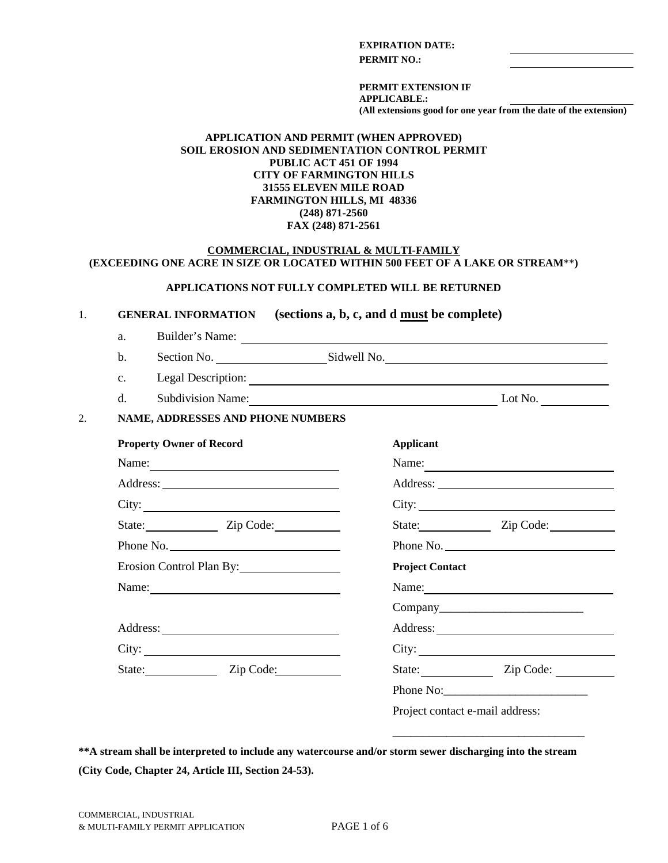#### **EXPIRATION DATE:**

**PERMIT NO.:**

**PERMIT EXTENSION IF APPLICABLE.: (All extensions good for one year from the date of the extension)**

#### **APPLICATION AND PERMIT (WHEN APPROVED) SOIL EROSION AND SEDIMENTATION CONTROL PERMIT PUBLIC ACT 451 OF 1994 CITY OF FARMINGTON HILLS 31555 ELEVEN MILE ROAD FARMINGTON HILLS, MI 48336 (248) 871-2560 FAX (248) 871-2561**

#### **COMMERCIAL, INDUSTRIAL & MULTI-FAMILY (EXCEEDING ONE ACRE IN SIZE OR LOCATED WITHIN 500 FEET OF A LAKE OR STREAM**\*\***)**

#### **APPLICATIONS NOT FULLY COMPLETED WILL BE RETURNED**

1. **GENERAL INFORMATION (sections a, b, c, and d must be complete)**

a. Builder's Name:

b. Section No. Section No. Sidwell No.

c. Legal Description:

d. Subdivision Name: Lot No. Lot No.

\_\_\_\_\_\_\_\_\_\_\_\_\_\_\_\_\_\_\_\_\_\_\_\_\_\_\_\_\_\_\_\_

#### 2. **NAME, ADDRESSES AND PHONE NUMBERS**

| <b>Property Owner of Record</b> | <b>Applicant</b>                |
|---------------------------------|---------------------------------|
| Name:                           | Name:                           |
|                                 |                                 |
| City:                           |                                 |
| State: Zip Code:                | State: Zip Code:                |
| Phone No.                       | Phone No.                       |
| Erosion Control Plan By:        | <b>Project Contact</b>          |
| Name:                           |                                 |
|                                 |                                 |
|                                 |                                 |
| $\text{City:}\_\_$              |                                 |
| State: Zip Code:                | State: Zip Code:                |
|                                 | Phone No:                       |
|                                 | Project contact e-mail address: |

**\*\*A stream shall be interpreted to include any watercourse and/or storm sewer discharging into the stream (City Code, Chapter 24, Article III, Section 24-53).**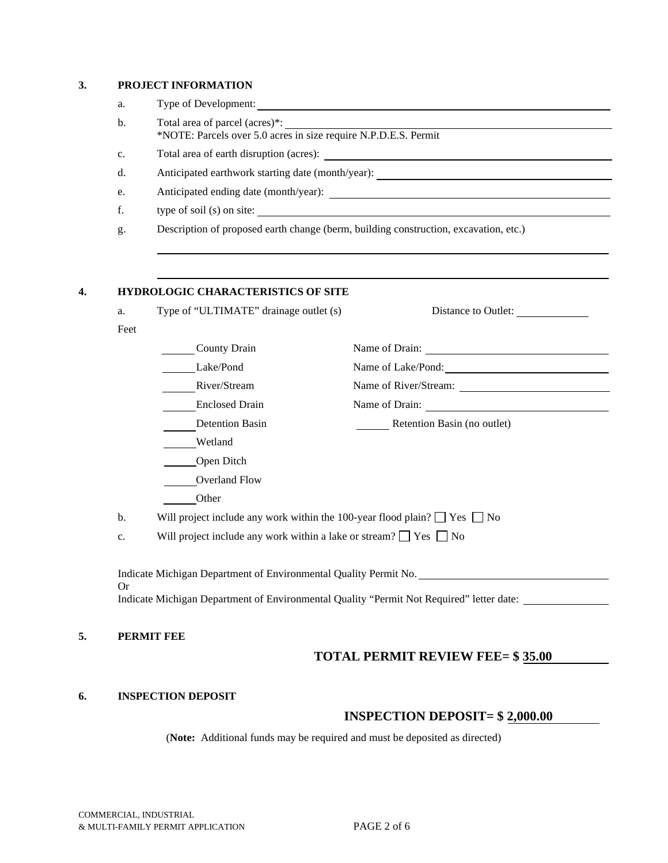### **3. PROJECT INFORMATION**

| Total area of parcel (acres)*:<br>*NOTE: Parcels over 5.0 acres in size require N.P.D.E.S. Permit |
|---------------------------------------------------------------------------------------------------|
| Total area of earth disruption (acres):                                                           |
| Anticipated earthwork starting date (month/year):                                                 |
| Anticipated ending date (month/year):                                                             |
| type of soil $(s)$ on site:                                                                       |
| Description of proposed earth change (berm, building construction, excavation, etc.)              |

### **4. HYDROLOGIC CHARACTERISTICS OF SITE**

| a.   | Type of "ULTIMATE" drainage outlet (s)                                              | Distance to Outlet:         |  |
|------|-------------------------------------------------------------------------------------|-----------------------------|--|
| Feet |                                                                                     |                             |  |
|      | <b>County Drain</b>                                                                 |                             |  |
|      | Lake/Pond                                                                           | Name of Lake/Pond:          |  |
|      | River/Stream                                                                        |                             |  |
|      | <b>Enclosed Drain</b>                                                               | Name of Drain:              |  |
|      | <b>Detention Basin</b>                                                              | Retention Basin (no outlet) |  |
|      | Wetland                                                                             |                             |  |
|      | Open Ditch                                                                          |                             |  |
|      | Overland Flow                                                                       |                             |  |
|      | Other                                                                               |                             |  |
| b.   | Will project include any work within the 100-year flood plain? $\Box$ Yes $\Box$ No |                             |  |
| c.   | Will project include any work within a lake or stream? $\Box$ Yes $\Box$ No         |                             |  |
|      |                                                                                     |                             |  |
|      |                                                                                     |                             |  |
|      | Indicate Michigan Department of Environmental Quality Permit No.                    |                             |  |

### **5. PERMIT FEE**

# **TOTAL PERMIT REVIEW FEE= \$ 35.00**

### **6. INSPECTION DEPOSIT**

## **INSPECTION DEPOSIT= \$ 2,000.00**

(**Note:** Additional funds may be required and must be deposited as directed)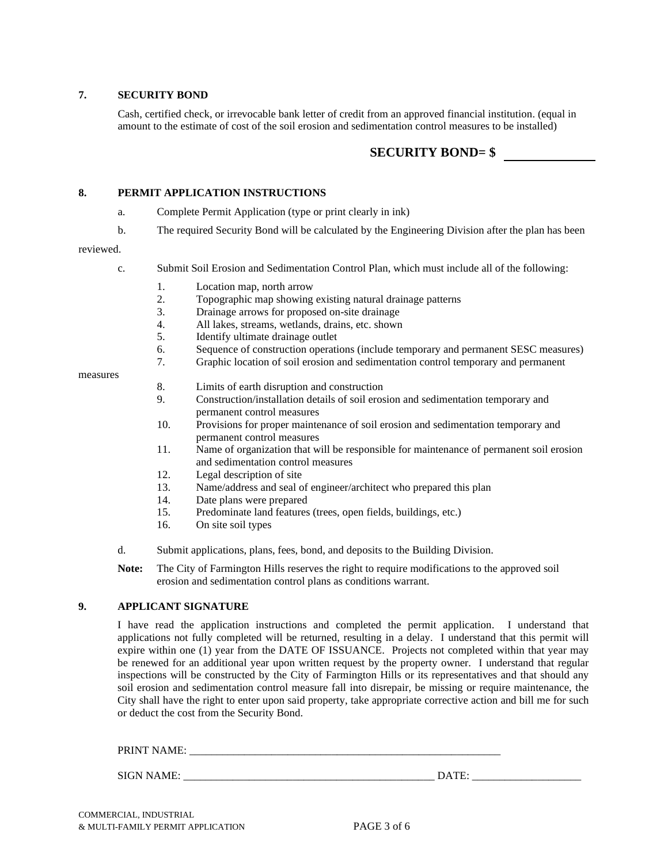#### **7. SECURITY BOND**

Cash, certified check, or irrevocable bank letter of credit from an approved financial institution. (equal in amount to the estimate of cost of the soil erosion and sedimentation control measures to be installed)

## **SECURITY BOND= \$**

#### **8. PERMIT APPLICATION INSTRUCTIONS**

- a. Complete Permit Application (type or print clearly in ink)
- b. The required Security Bond will be calculated by the Engineering Division after the plan has been

#### reviewed.

- c. Submit Soil Erosion and Sedimentation Control Plan, which must include all of the following:
	- 1. Location map, north arrow
	- 2. Topographic map showing existing natural drainage patterns
	- 3. Drainage arrows for proposed on-site drainage
	- 4. All lakes, streams, wetlands, drains, etc. shown
	- 5. Identify ultimate drainage outlet
	- 6. Sequence of construction operations (include temporary and permanent SESC measures)<br>7. Graphic location of soil erosion and sedimentation control temporary and permanent
	- Graphic location of soil erosion and sedimentation control temporary and permanent

measures

- 8. Limits of earth disruption and construction
- 9. Construction/installation details of soil erosion and sedimentation temporary and permanent control measures
- 10. Provisions for proper maintenance of soil erosion and sedimentation temporary and permanent control measures
- 11. Name of organization that will be responsible for maintenance of permanent soil erosion and sedimentation control measures
- 12. Legal description of site
- 13. Name/address and seal of engineer/architect who prepared this plan
- 14. Date plans were prepared
- 15. Predominate land features (trees, open fields, buildings, etc.)
- 16. On site soil types
- d. Submit applications, plans, fees, bond, and deposits to the Building Division.

**Note:** The City of Farmington Hills reserves the right to require modifications to the approved soil erosion and sedimentation control plans as conditions warrant.

### **9. APPLICANT SIGNATURE**

I have read the application instructions and completed the permit application. I understand that applications not fully completed will be returned, resulting in a delay. I understand that this permit will expire within one (1) year from the DATE OF ISSUANCE. Projects not completed within that year may be renewed for an additional year upon written request by the property owner. I understand that regular inspections will be constructed by the City of Farmington Hills or its representatives and that should any soil erosion and sedimentation control measure fall into disrepair, be missing or require maintenance, the City shall have the right to enter upon said property, take appropriate corrective action and bill me for such or deduct the cost from the Security Bond.

| PRINT NAME<br>. | _______ |
|-----------------|---------|
|                 |         |
| SIGN NAME:      | 17711.  |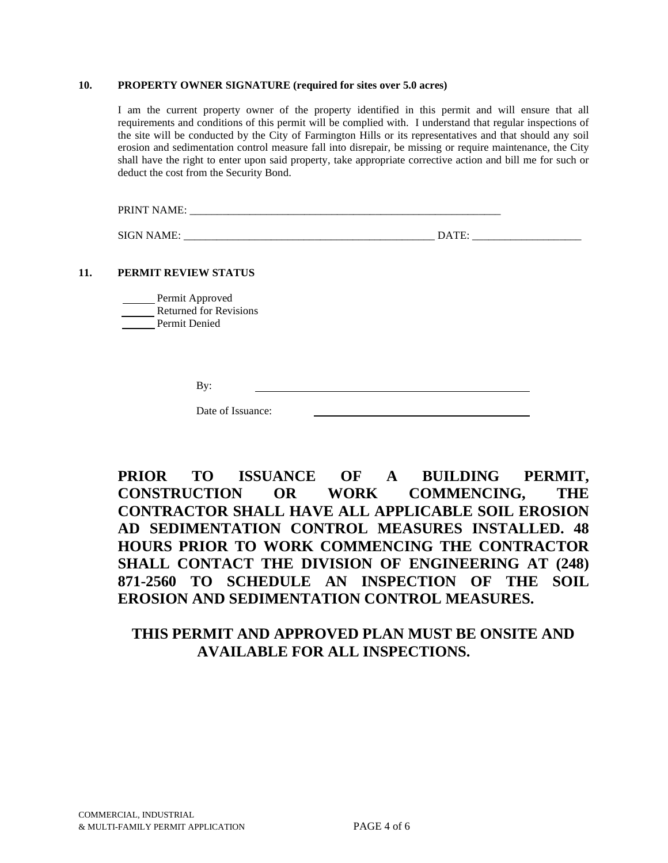#### **10. PROPERTY OWNER SIGNATURE (required for sites over 5.0 acres)**

I am the current property owner of the property identified in this permit and will ensure that all requirements and conditions of this permit will be complied with. I understand that regular inspections of the site will be conducted by the City of Farmington Hills or its representatives and that should any soil erosion and sedimentation control measure fall into disrepair, be missing or require maintenance, the City shall have the right to enter upon said property, take appropriate corrective action and bill me for such or deduct the cost from the Security Bond.

PRINT NAME: \_\_\_\_\_\_\_\_\_\_\_\_\_\_\_\_\_\_\_\_\_\_\_\_\_\_\_\_\_\_\_\_\_\_\_\_\_\_\_\_\_\_\_\_\_\_\_\_\_\_\_\_\_\_\_\_\_

SIGN NAME: \_\_\_\_\_\_\_\_\_\_\_\_\_\_\_\_\_\_\_\_\_\_\_\_\_\_\_\_\_\_\_\_\_\_\_\_\_\_\_\_\_\_\_\_\_\_ DATE: \_\_\_\_\_\_\_\_\_\_\_\_\_\_\_\_\_\_\_\_

#### **11. PERMIT REVIEW STATUS**

| Permit Approved               |
|-------------------------------|
| <b>Returned for Revisions</b> |
| Permit Denied                 |

Date of Issuance:

# **PRIOR TO ISSUANCE OF A BUILDING PERMIT, CONSTRUCTION OR WORK COMMENCING, THE CONTRACTOR SHALL HAVE ALL APPLICABLE SOIL EROSION AD SEDIMENTATION CONTROL MEASURES INSTALLED. 48 HOURS PRIOR TO WORK COMMENCING THE CONTRACTOR SHALL CONTACT THE DIVISION OF ENGINEERING AT (248) 871-2560 TO SCHEDULE AN INSPECTION OF THE SOIL EROSION AND SEDIMENTATION CONTROL MEASURES.**

# **THIS PERMIT AND APPROVED PLAN MUST BE ONSITE AND AVAILABLE FOR ALL INSPECTIONS.**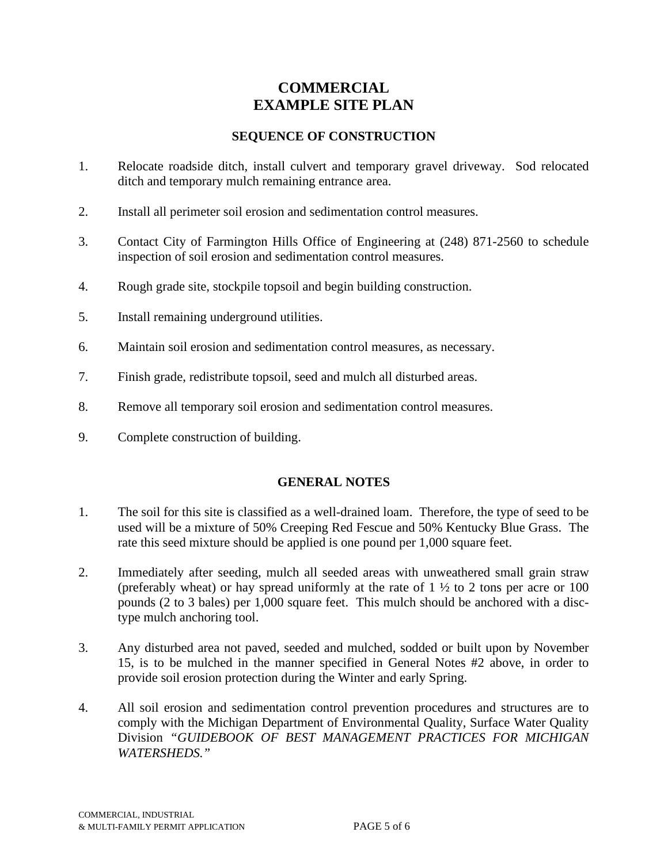# **COMMERCIAL EXAMPLE SITE PLAN**

## **SEQUENCE OF CONSTRUCTION**

- 1. Relocate roadside ditch, install culvert and temporary gravel driveway. Sod relocated ditch and temporary mulch remaining entrance area.
- 2. Install all perimeter soil erosion and sedimentation control measures.
- 3. Contact City of Farmington Hills Office of Engineering at (248) 871-2560 to schedule inspection of soil erosion and sedimentation control measures.
- 4. Rough grade site, stockpile topsoil and begin building construction.
- 5. Install remaining underground utilities.
- 6. Maintain soil erosion and sedimentation control measures, as necessary.
- 7. Finish grade, redistribute topsoil, seed and mulch all disturbed areas.
- 8. Remove all temporary soil erosion and sedimentation control measures.
- 9. Complete construction of building.

## **GENERAL NOTES**

- 1. The soil for this site is classified as a well-drained loam. Therefore, the type of seed to be used will be a mixture of 50% Creeping Red Fescue and 50% Kentucky Blue Grass. The rate this seed mixture should be applied is one pound per 1,000 square feet.
- 2. Immediately after seeding, mulch all seeded areas with unweathered small grain straw (preferably wheat) or hay spread uniformly at the rate of  $1 \frac{1}{2}$  to 2 tons per acre or 100 pounds (2 to 3 bales) per 1,000 square feet. This mulch should be anchored with a disctype mulch anchoring tool.
- 3. Any disturbed area not paved, seeded and mulched, sodded or built upon by November 15, is to be mulched in the manner specified in General Notes #2 above, in order to provide soil erosion protection during the Winter and early Spring.
- 4. All soil erosion and sedimentation control prevention procedures and structures are to comply with the Michigan Department of Environmental Quality, Surface Water Quality Division *"GUIDEBOOK OF BEST MANAGEMENT PRACTICES FOR MICHIGAN WATERSHEDS."*